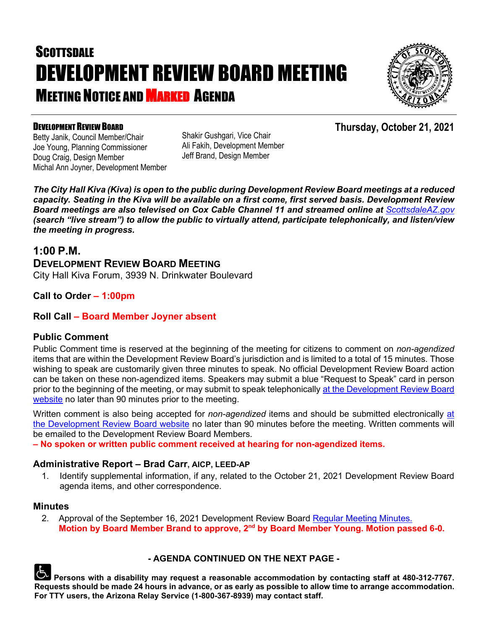# **SCOTTSDALE** DEVELOPMENT REVIEW BOARD MEETING **MEETING NOTICE AND MARKED AGENDA**



#### DEVELOPMENT REVIEW BOARD

Betty Janik, Council Member/Chair Joe Young, Planning Commissioner Doug Craig, Design Member Michal Ann Joyner, Development Member Shakir Gushgari, Vice Chair Ali Fakih, Development Member Jeff Brand, Design Member

*The City Hall Kiva (Kiva) is open to the public during Development Review Board meetings at a reduced capacity. Seating in the Kiva will be available on a first come, first served basis. Development Review*  **Board meetings are also televised on Cox Cable Channel 11 and streamed online at** *[ScottsdaleAZ.gov](http://www.scottsdaleaz.gov/) (search "live stream") to allow the public to virtually attend, participate telephonically, and listen/view the meeting in progress.*

### **1:00 P.M.**

**DEVELOPMENT REVIEW BOARD MEETING** City Hall Kiva Forum, 3939 N. Drinkwater Boulevard

#### **Call to Order – 1:00pm**

#### **Roll Call – Board Member Joyner absent**

#### **Public Comment**

Public Comment time is reserved at the beginning of the meeting for citizens to comment on *non-agendized* items that are within the Development Review Board's jurisdiction and is limited to a total of 15 minutes. Those wishing to speak are customarily given three minutes to speak. No official Development Review Board action can be taken on these non-agendized items. Speakers may submit a blue "Request to Speak" card in person prior to the beginning of the meeting, or may submit to speak telephonically at the Development Review Board [website](https://www.scottsdaleaz.gov/boards/development-review-board/spoken-comment) no later than 90 minutes prior to the meeting.

Written comment is also being accepted for *non-agendized* items and should be submitted electronically [at](https://www.scottsdaleaz.gov/boards/development-review-board/public-comment)  [the Development Review Board website](https://www.scottsdaleaz.gov/boards/development-review-board/public-comment) no later than 90 minutes before the meeting. Written comments will be emailed to the Development Review Board Members.

**– No spoken or written public comment received at hearing for non-agendized items.**

#### **Administrative Report – Brad Carr, AICP, LEED-AP**

1. Identify supplemental information, if any, related to the October 21, 2021 Development Review Board agenda items, and other correspondence.

#### **Minutes**

2. Approval of the September 16, 2021 Development Review Board [Regular Meeting Minutes.](https://eservices.scottsdaleaz.gov/planning/projectsummary/unrelated_documents/DRB_MEETING_MINUTES_09162021.pdf) **Motion by Board Member Brand to approve, 2nd by Board Member Young. Motion passed 6-0.**



#### **- AGENDA CONTINUED ON THE NEXT PAGE -**

**Persons with a disability may request a reasonable accommodation by contacting staff at 480-312-7767. Requests should be made 24 hours in advance, or as early as possible to allow time to arrange accommodation. For TTY users, the Arizona Relay Service (1-800-367-8939) may contact staff.**

### **Thursday, October 21, 2021**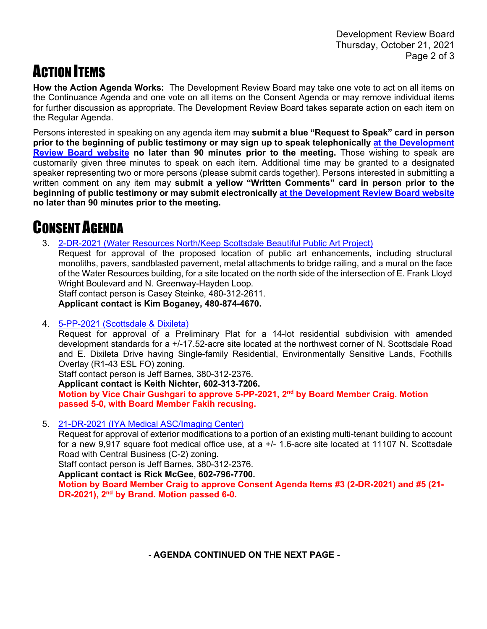## **ACTION ITEMS**

**How the Action Agenda Works:** The Development Review Board may take one vote to act on all items on the Continuance Agenda and one vote on all items on the Consent Agenda or may remove individual items for further discussion as appropriate. The Development Review Board takes separate action on each item on the Regular Agenda.

Persons interested in speaking on any agenda item may **submit a blue "Request to Speak" card in person prior to the beginning of public testimony or may sign up to speak telephonically [at the Development](https://www.scottsdaleaz.gov/boards/development-review-board/spoken-comment)  [Review Board website](https://www.scottsdaleaz.gov/boards/development-review-board/spoken-comment) no later than 90 minutes prior to the meeting.** Those wishing to speak are customarily given three minutes to speak on each item. Additional time may be granted to a designated speaker representing two or more persons (please submit cards together). Persons interested in submitting a written comment on any item may **submit a yellow "Written Comments" card in person prior to the beginning of public testimony or may submit electronically [at the Development Review Board website](https://www.scottsdaleaz.gov/boards/development-review-board/public-comment) no later than 90 minutes prior to the meeting.**

## CONSENT AGENDA

3. [2-DR-2021 \(Water Resources North/Keep Scottsdale Beautiful Public Art Project\)](https://eservices.scottsdaleaz.gov/planning/projectsummary/dr_reports/DR_2_DR_2021.pdf)

Request for approval of the proposed location of public art enhancements, including structural monoliths, pavers, sandblasted pavement, metal attachments to bridge railing, and a mural on the face of the Water Resources building, for a site located on the north side of the intersection of E. Frank Lloyd Wright Boulevard and N. Greenway-Hayden Loop.

Staff contact person is Casey Steinke, 480-312-2611. **Applicant contact is Kim Boganey, 480-874-4670.**

4. [5-PP-2021 \(Scottsdale & Dixileta\)](https://eservices.scottsdaleaz.gov/planning/projectsummary/dr_reports/DR_5_PP_2021.pdf)

Request for approval of a Preliminary Plat for a 14-lot residential subdivision with amended development standards for a +/-17.52-acre site located at the northwest corner of N. Scottsdale Road and E. Dixileta Drive having Single-family Residential, Environmentally Sensitive Lands, Foothills Overlay (R1-43 ESL FO) zoning.

Staff contact person is Jeff Barnes, 380-312-2376.

**Applicant contact is Keith Nichter, 602-313-7206.**

**Motion by Vice Chair Gushgari to approve 5-PP-2021, 2nd by Board Member Craig. Motion passed 5-0, with Board Member Fakih recusing.**

5. [21-DR-2021 \(IYA Medical ASC/Imaging Center\)](https://eservices.scottsdaleaz.gov/planning/projectsummary/dr_reports/DR_21_DR_2021.pdf)

Request for approval of exterior modifications to a portion of an existing multi-tenant building to account for a new 9,917 square foot medical office use, at a +/- 1.6-acre site located at 11107 N. Scottsdale Road with Central Business (C-2) zoning.

Staff contact person is Jeff Barnes, 380-312-2376.

**Applicant contact is Rick McGee, 602-796-7700.**

**Motion by Board Member Craig to approve Consent Agenda Items #3 (2-DR-2021) and #5 (21- DR-2021), 2nd by Brand. Motion passed 6-0.**

 **- AGENDA CONTINUED ON THE NEXT PAGE -**